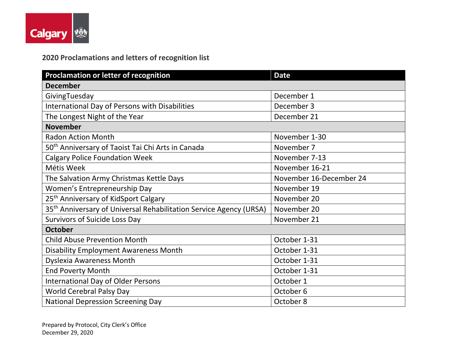

## **2020 Proclamations and letters of recognition list**

| <b>Proclamation or letter of recognition</b>                                   | <b>Date</b>             |  |
|--------------------------------------------------------------------------------|-------------------------|--|
| <b>December</b>                                                                |                         |  |
| GivingTuesday                                                                  | December 1              |  |
| International Day of Persons with Disabilities                                 | December 3              |  |
| The Longest Night of the Year                                                  | December 21             |  |
| <b>November</b>                                                                |                         |  |
| <b>Radon Action Month</b>                                                      | November 1-30           |  |
| 50 <sup>th</sup> Anniversary of Taoist Tai Chi Arts in Canada                  | November 7              |  |
| <b>Calgary Police Foundation Week</b>                                          | November 7-13           |  |
| Métis Week                                                                     | November 16-21          |  |
| The Salvation Army Christmas Kettle Days                                       | November 16-December 24 |  |
| Women's Entrepreneurship Day                                                   | November 19             |  |
| 25 <sup>th</sup> Anniversary of KidSport Calgary                               | November 20             |  |
| 35 <sup>th</sup> Anniversary of Universal Rehabilitation Service Agency (URSA) | November 20             |  |
| <b>Survivors of Suicide Loss Day</b>                                           | November 21             |  |
| <b>October</b>                                                                 |                         |  |
| <b>Child Abuse Prevention Month</b>                                            | October 1-31            |  |
| <b>Disability Employment Awareness Month</b>                                   | October 1-31            |  |
| <b>Dyslexia Awareness Month</b>                                                | October 1-31            |  |
| <b>End Poverty Month</b>                                                       | October 1-31            |  |
| <b>International Day of Older Persons</b>                                      | October 1               |  |
| <b>World Cerebral Palsy Day</b>                                                | October 6               |  |
| <b>National Depression Screening Day</b>                                       | October 8               |  |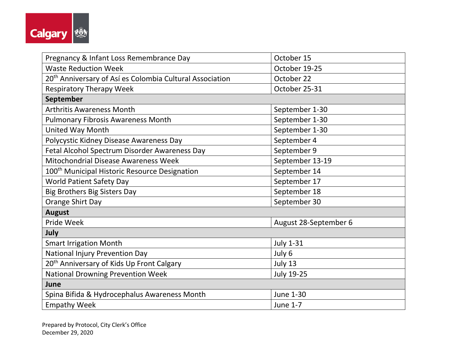

| Pregnancy & Infant Loss Remembrance Day                              | October 15            |  |
|----------------------------------------------------------------------|-----------------------|--|
| <b>Waste Reduction Week</b>                                          | October 19-25         |  |
| 20 <sup>th</sup> Anniversary of Así es Colombia Cultural Association | October 22            |  |
| <b>Respiratory Therapy Week</b>                                      | October 25-31         |  |
| September                                                            |                       |  |
| <b>Arthritis Awareness Month</b>                                     | September 1-30        |  |
| <b>Pulmonary Fibrosis Awareness Month</b>                            | September 1-30        |  |
| United Way Month                                                     | September 1-30        |  |
| Polycystic Kidney Disease Awareness Day                              | September 4           |  |
| Fetal Alcohol Spectrum Disorder Awareness Day                        | September 9           |  |
| Mitochondrial Disease Awareness Week                                 | September 13-19       |  |
| 100 <sup>th</sup> Municipal Historic Resource Designation            | September 14          |  |
| <b>World Patient Safety Day</b>                                      | September 17          |  |
| <b>Big Brothers Big Sisters Day</b>                                  | September 18          |  |
| Orange Shirt Day                                                     | September 30          |  |
| <b>August</b>                                                        |                       |  |
| Pride Week                                                           | August 28-September 6 |  |
| July                                                                 |                       |  |
| <b>Smart Irrigation Month</b>                                        | <b>July 1-31</b>      |  |
| <b>National Injury Prevention Day</b>                                | July 6                |  |
| 20 <sup>th</sup> Anniversary of Kids Up Front Calgary                | July 13               |  |
| <b>National Drowning Prevention Week</b>                             | <b>July 19-25</b>     |  |
| June                                                                 |                       |  |
| Spina Bifida & Hydrocephalus Awareness Month                         | June 1-30             |  |
| <b>Empathy Week</b>                                                  | <b>June 1-7</b>       |  |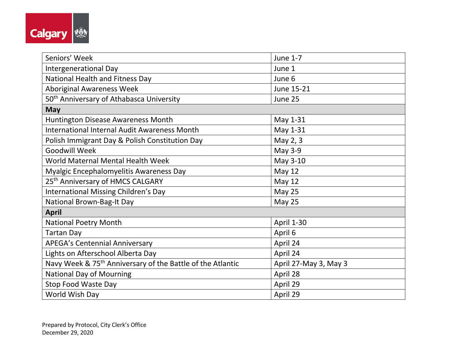

| Seniors' Week                                                          | June 1-7              |  |
|------------------------------------------------------------------------|-----------------------|--|
| Intergenerational Day                                                  | June 1                |  |
| National Health and Fitness Day                                        | June 6                |  |
| <b>Aboriginal Awareness Week</b>                                       | June 15-21            |  |
| 50 <sup>th</sup> Anniversary of Athabasca University                   | June 25               |  |
| <b>May</b>                                                             |                       |  |
| Huntington Disease Awareness Month                                     | May 1-31              |  |
| <b>International Internal Audit Awareness Month</b>                    | May 1-31              |  |
| Polish Immigrant Day & Polish Constitution Day                         | May 2, 3              |  |
| <b>Goodwill Week</b>                                                   | May 3-9               |  |
| World Maternal Mental Health Week                                      | May 3-10              |  |
| Myalgic Encephalomyelitis Awareness Day                                | May 12                |  |
| 25 <sup>th</sup> Anniversary of HMCS CALGARY                           | <b>May 12</b>         |  |
| International Missing Children's Day                                   | May 25                |  |
| National Brown-Bag-It Day                                              | May 25                |  |
| <b>April</b>                                                           |                       |  |
| <b>National Poetry Month</b>                                           | <b>April 1-30</b>     |  |
| <b>Tartan Day</b>                                                      | April 6               |  |
| <b>APEGA's Centennial Anniversary</b>                                  | April 24              |  |
| Lights on Afterschool Alberta Day                                      | April 24              |  |
| Navy Week & 75 <sup>th</sup> Anniversary of the Battle of the Atlantic | April 27-May 3, May 3 |  |
| <b>National Day of Mourning</b>                                        | April 28              |  |
| Stop Food Waste Day                                                    | April 29              |  |
| World Wish Day                                                         | April 29              |  |